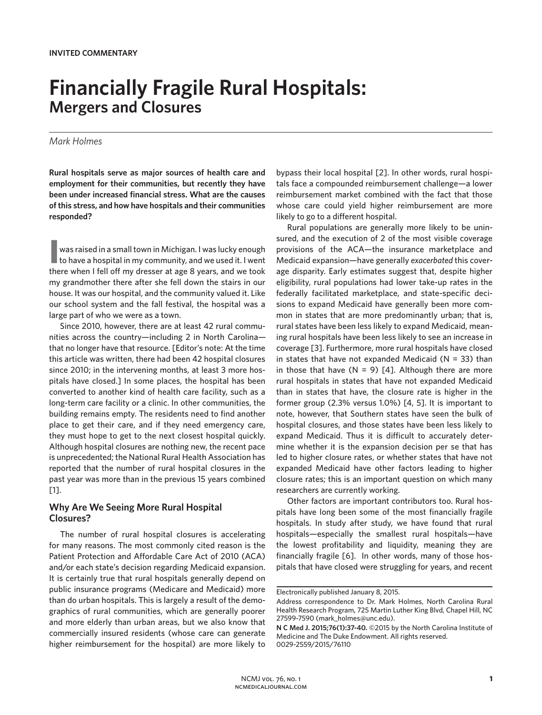# **Financially Fragile Rural Hospitals: Mergers and Closures**

### *Mark Holmes*

**Rural hospitals serve as major sources of health care and employment for their communities, but recently they have been under increased financial stress. What are the causes of this stress, and how have hospitals and their communities responded?**

**I** was raised in a small town in Michigan. I was lucky enough to have a hospital in my community, and we used it. I went was raised in a small town in Michigan. I was lucky enough there when I fell off my dresser at age 8 years, and we took my grandmother there after she fell down the stairs in our house. It was our hospital, and the community valued it. Like our school system and the fall festival, the hospital was a large part of who we were as a town.

Since 2010, however, there are at least 42 rural communities across the country—including 2 in North Carolina that no longer have that resource. [Editor's note: At the time this article was written, there had been 42 hospital closures since 2010; in the intervening months, at least 3 more hospitals have closed.] In some places, the hospital has been converted to another kind of health care facility, such as a long-term care facility or a clinic. In other communities, the building remains empty. The residents need to find another place to get their care, and if they need emergency care, they must hope to get to the next closest hospital quickly. Although hospital closures are nothing new, the recent pace is unprecedented; the National Rural Health Association has reported that the number of rural hospital closures in the past year was more than in the previous 15 years combined [1].

## **Why Are We Seeing More Rural Hospital Closures?**

The number of rural hospital closures is accelerating for many reasons. The most commonly cited reason is the Patient Protection and Affordable Care Act of 2010 (ACA) and/or each state's decision regarding Medicaid expansion. It is certainly true that rural hospitals generally depend on public insurance programs (Medicare and Medicaid) more than do urban hospitals. This is largely a result of the demographics of rural communities, which are generally poorer and more elderly than urban areas, but we also know that commercially insured residents (whose care can generate higher reimbursement for the hospital) are more likely to

bypass their local hospital [2]. In other words, rural hospitals face a compounded reimbursement challenge—a lower reimbursement market combined with the fact that those whose care could yield higher reimbursement are more likely to go to a different hospital.

Rural populations are generally more likely to be uninsured, and the execution of 2 of the most visible coverage provisions of the ACA—the insurance marketplace and Medicaid expansion—have generally *exacerbated* this coverage disparity. Early estimates suggest that, despite higher eligibility, rural populations had lower take-up rates in the federally facilitated marketplace, and state-specific decisions to expand Medicaid have generally been more common in states that are more predominantly urban; that is, rural states have been less likely to expand Medicaid, meaning rural hospitals have been less likely to see an increase in coverage [3]. Furthermore, more rural hospitals have closed in states that have not expanded Medicaid ( $N = 33$ ) than in those that have  $(N = 9)$  [4]. Although there are more rural hospitals in states that have not expanded Medicaid than in states that have, the closure rate is higher in the former group (2.3% versus 1.0%) [4, 5]. It is important to note, however, that Southern states have seen the bulk of hospital closures, and those states have been less likely to expand Medicaid. Thus it is difficult to accurately determine whether it is the expansion decision per se that has led to higher closure rates, or whether states that have not expanded Medicaid have other factors leading to higher closure rates; this is an important question on which many researchers are currently working.

Other factors are important contributors too. Rural hospitals have long been some of the most financially fragile hospitals. In study after study, we have found that rural hospitals—especially the smallest rural hospitals—have the lowest profitability and liquidity, meaning they are financially fragile [6]. In other words, many of those hospitals that have closed were struggling for years, and recent

Electronically published January 8, 2015.

Address correspondence to Dr. Mark Holmes, North Carolina Rural Health Research Program, 725 Martin Luther King Blvd, Chapel Hill, NC 27599-7590 (mark\_holmes@unc.edu).

**N C Med J. 2015;76(1):37-40.** ©2015 by the North Carolina Institute of Medicine and The Duke Endowment. All rights reserved. 0029-2559/2015/76110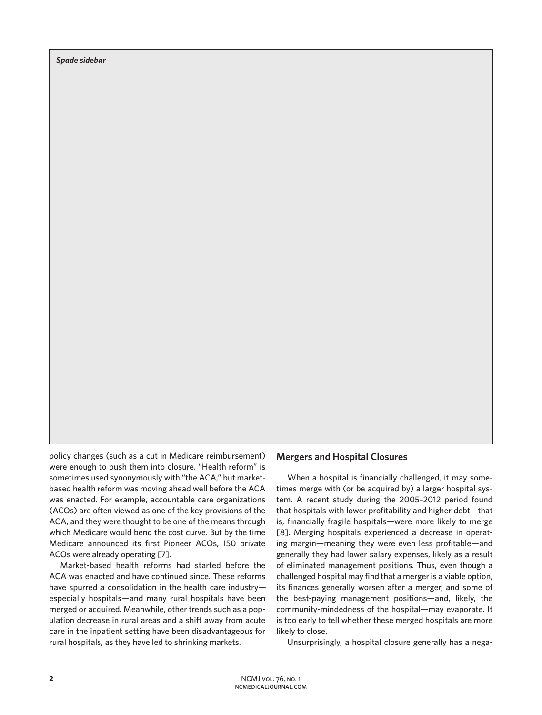*Spade sidebar*

policy changes (such as a cut in Medicare reimbursement) were enough to push them into closure. "Health reform" is sometimes used synonymously with "the ACA," but marketbased health reform was moving ahead well before the ACA was enacted. For example, accountable care organizations (ACOs) are often viewed as one of the key provisions of the ACA, and they were thought to be one of the means through which Medicare would bend the cost curve. But by the time Medicare announced its first Pioneer ACOs, 150 private ACOs were already operating [7].

Market-based health reforms had started before the ACA was enacted and have continued since. These reforms have spurred a consolidation in the health care industry especially hospitals—and many rural hospitals have been merged or acquired. Meanwhile, other trends such as a population decrease in rural areas and a shift away from acute care in the inpatient setting have been disadvantageous for rural hospitals, as they have led to shrinking markets.

## **Mergers and Hospital Closures**

When a hospital is financially challenged, it may sometimes merge with (or be acquired by) a larger hospital system. A recent study during the 2005–2012 period found that hospitals with lower profitability and higher debt—that is, financially fragile hospitals—were more likely to merge [8]. Merging hospitals experienced a decrease in operating margin—meaning they were even less profitable—and generally they had lower salary expenses, likely as a result of eliminated management positions. Thus, even though a challenged hospital may find that a merger is a viable option, its finances generally worsen after a merger, and some of the best-paying management positions—and, likely, the community-mindedness of the hospital—may evaporate. It is too early to tell whether these merged hospitals are more likely to close.

Unsurprisingly, a hospital closure generally has a nega-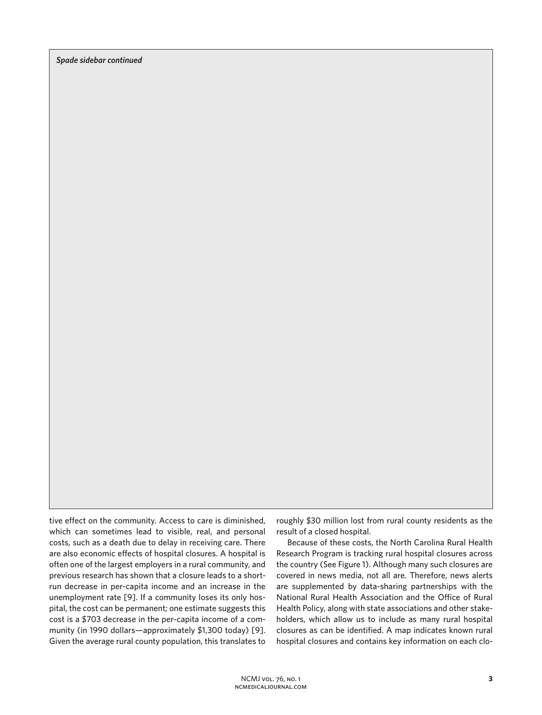*Spade sidebar continued*

tive effect on the community. Access to care is diminished, which can sometimes lead to visible, real, and personal costs, such as a death due to delay in receiving care. There are also economic effects of hospital closures. A hospital is often one of the largest employers in a rural community, and previous research has shown that a closure leads to a shortrun decrease in per-capita income and an increase in the unemployment rate [9]. If a community loses its only hospital, the cost can be permanent; one estimate suggests this cost is a \$703 decrease in the per-capita income of a community (in 1990 dollars—approximately \$1,300 today) [9]. Given the average rural county population, this translates to

roughly \$30 million lost from rural county residents as the result of a closed hospital.

Because of these costs, the North Carolina Rural Health Research Program is tracking rural hospital closures across the country (See Figure 1). Although many such closures are covered in news media, not all are. Therefore, news alerts are supplemented by data-sharing partnerships with the National Rural Health Association and the Office of Rural Health Policy, along with state associations and other stakeholders, which allow us to include as many rural hospital closures as can be identified. A map indicates known rural hospital closures and contains key information on each clo-